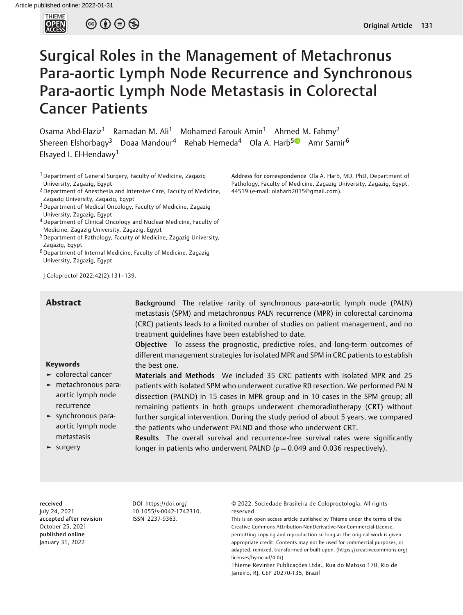

 $\circledcirc \circledcirc \circledcirc$ 

# Surgical Roles in the Management of Metachronus Para-aortic Lymph Node Recurrence and Synchronous Para-aortic Lymph Node Metastasis in Colorectal Cancer Patients

Osama Abd-Elaziz<sup>1</sup> Ramadan M. Ali<sup>1</sup> Mohamed Farouk Amin<sup>1</sup> Ahmed M. Fahmy<sup>2</sup> Shereen Elshorbagy<sup>3</sup> Doaa Mandour<sup>4</sup> Rehab Hemeda<sup>4</sup> Ola A. Harb<sup>[5](https://orcid.org/0000-0002-4396-3101)0</sup> Amr Samir<sup>6</sup> Elsayed I. El-Hendawy<sup>1</sup>

<sup>1</sup> Department of General Surgery, Faculty of Medicine, Zagazig University, Zagazig, Egypt

2Department of Anesthesia and Intensive Care, Faculty of Medicine, Zagazig University, Zagazig, Egypt

3Department of Medical Oncology, Faculty of Medicine, Zagazig University, Zagazig, Egypt

4Department of Clinical Oncology and Nuclear Medicine, Faculty of Medicine, Zagazig University, Zagazig, Egypt

5Department of Pathology, Faculty of Medicine, Zagazig University, Zagazig, Egypt

6Department of Internal Medicine, Faculty of Medicine, Zagazig University, Zagazig, Egypt

J Coloproctol 2022;42(2):131–139.

Abstract Background The relative rarity of synchronous para-aortic lymph node (PALN) metastasis (SPM) and metachronous PALN recurrence (MPR) in colorectal carcinoma (CRC) patients leads to a limited number of studies on patient management, and no treatment guidelines have been established to date.

> Objective To assess the prognostic, predictive roles, and long-term outcomes of different management strategies for isolated MPR and SPM in CRC patients to establish the best one.

# Keywords

- ► colorectal cancer
- ► metachronous paraaortic lymph node recurrence
- ► synchronous paraaortic lymph node metastasis
- ► surgery

Materials and Methods We included 35 CRC patients with isolated MPR and 25 patients with isolated SPM who underwent curative R0 resection. We performed PALN dissection (PALND) in 15 cases in MPR group and in 10 cases in the SPM group; all remaining patients in both groups underwent chemoradiotherapy (CRT) without further surgical intervention. During the study period of about 5 years, we compared the patients who underwent PALND and those who underwent CRT.

Results The overall survival and recurrence-free survival rates were significantly longer in patients who underwent PALND ( $p = 0.049$  and 0.036 respectively).

received July 24, 2021 accepted after revision October 25, 2021 published online January 31, 2022

DOI [https://doi.org/](https://doi.org/10.1055/s-0042-1742310) [10.1055/s-0042-1742310](https://doi.org/10.1055/s-0042-1742310). ISSN 2237-9363.

© 2022. Sociedade Brasileira de Coloproctologia. All rights reserved.

This is an open access article published by Thieme under the terms of the Creative Commons Attribution-NonDerivative-NonCommercial-License, permitting copying and reproduction so long as the original work is given appropriate credit. Contents may not be used for commercial purposes, or adapted, remixed, transformed or built upon. (https://creativecommons.org/ licenses/by-nc-nd/4.0/)

Thieme Revinter Publicações Ltda., Rua do Matoso 170, Rio de Janeiro, RJ, CEP 20270-135, Brazil

Address for correspondence Ola A. Harb, MD, PhD, Department of Pathology, Faculty of Medicine, Zagazig University, Zagazig, Egypt, 44519 (e-mail: [olaharb2015@gmail.com\)](mailto:olaharb2015@gmail.com).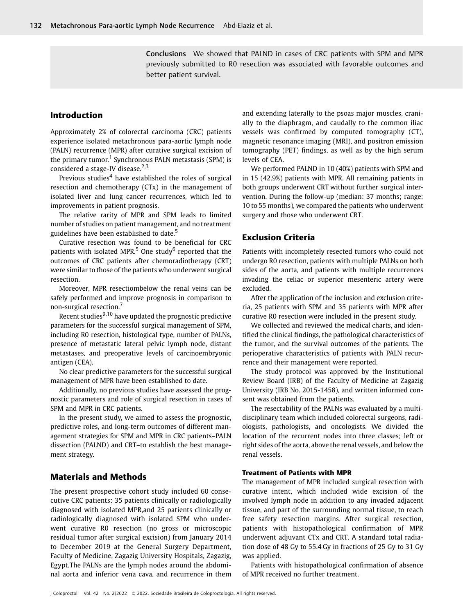Conclusions We showed that PALND in cases of CRC patients with SPM and MPR previously submitted to R0 resection was associated with favorable outcomes and better patient survival.

# Introduction

Approximately 2% of colorectal carcinoma (CRC) patients experience isolated metachronous para-aortic lymph node (PALN) recurrence (MPR) after curative surgical excision of the primary tumor.<sup>1</sup> Synchronous PALN metastasis (SPM) is considered a stage-IV disease. $2,3$ 

Previous studies $4$  have established the roles of surgical resection and chemotherapy (CTx) in the management of isolated liver and lung cancer recurrences, which led to improvements in patient prognosis.

The relative rarity of MPR and SPM leads to limited number of studies on patient management, and no treatment guidelines have been established to date.<sup>5</sup>

Curative resection was found to be beneficial for CRC patients with isolated MPR. $5$  One study $6$  reported that the outcomes of CRC patients after chemoradiotherapy (CRT) were similar to those of the patients who underwent surgical resection.

Moreover, MPR resectiombelow the renal veins can be safely performed and improve prognosis in comparison to non-surgical resection.<sup>7</sup>

Recent studies $9,10$  have updated the prognostic predictive parameters for the successful surgical management of SPM, including R0 resection, histological type, number of PALNs, presence of metastatic lateral pelvic lymph node, distant metastases, and preoperative levels of carcinoembryonic antigen (CEA).

No clear predictive parameters for the successful surgical management of MPR have been established to date.

Additionally, no previous studies have assessed the prognostic parameters and role of surgical resection in cases of SPM and MPR in CRC patients.

In the present study, we aimed to assess the prognostic, predictive roles, and long-term outcomes of different management strategies for SPM and MPR in CRC patients–PALN dissection (PALND) and CRT–to establish the best management strategy.

# Materials and Methods

The present prospective cohort study included 60 consecutive CRC patients: 35 patients clinically or radiologically diagnosed with isolated MPR,and 25 patients clinically or radiologically diagnosed with isolated SPM who underwent curative R0 resection (no gross or microscopic residual tumor after surgical excision) from January 2014 to December 2019 at the General Surgery Department, Faculty of Medicine, Zagazig University Hospitals, Zagazig, Egypt.The PALNs are the lymph nodes around the abdominal aorta and inferior vena cava, and recurrence in them

and extending laterally to the psoas major muscles, cranially to the diaphragm, and caudally to the common iliac vessels was confirmed by computed tomography (CT), magnetic resonance imaging (MRI), and positron emission tomography (PET) findings, as well as by the high serum levels of CEA.

We performed PALND in 10 (40%) patients with SPM and in 15 (42.9%) patients with MPR. All remaining patients in both groups underwent CRT without further surgical intervention. During the follow-up (median: 37 months; range: 10 to 55 months), we compared the patients who underwent surgery and those who underwent CRT.

# Exclusion Criteria

Patients with incompletely resected tumors who could not undergo R0 resection, patients with multiple PALNs on both sides of the aorta, and patients with multiple recurrences invading the celiac or superior mesenteric artery were excluded.

After the application of the inclusion and exclusion criteria, 25 patients with SPM and 35 patients with MPR after curative R0 resection were included in the present study.

We collected and reviewed the medical charts, and identified the clinical findings, the pathological characteristics of the tumor, and the survival outcomes of the patients. The perioperative characteristics of patients with PALN recurrence and their management were reported.

The study protocol was approved by the Institutional Review Board (IRB) of the Faculty of Medicine at Zagazig University (IRB No. 2015-1458), and written informed consent was obtained from the patients.

The resectability of the PALNs was evaluated by a multidisciplinary team which included colorectal surgeons, radiologists, pathologists, and oncologists. We divided the location of the recurrent nodes into three classes; left or right sides of the aorta, above the renal vessels, and below the renal vessels.

#### Treatment of Patients with MPR

The management of MPR included surgical resection with curative intent, which included wide excision of the involved lymph node in addition to any invaded adjacent tissue, and part of the surrounding normal tissue, to reach free safety resection margins. After surgical resection, patients with histopathological confirmation of MPR underwent adjuvant CTx and CRT. A standard total radiation dose of 48 Gy to 55.4 Gy in fractions of 25 Gy to 31 Gy was applied.

Patients with histopathological confirmation of absence of MPR received no further treatment.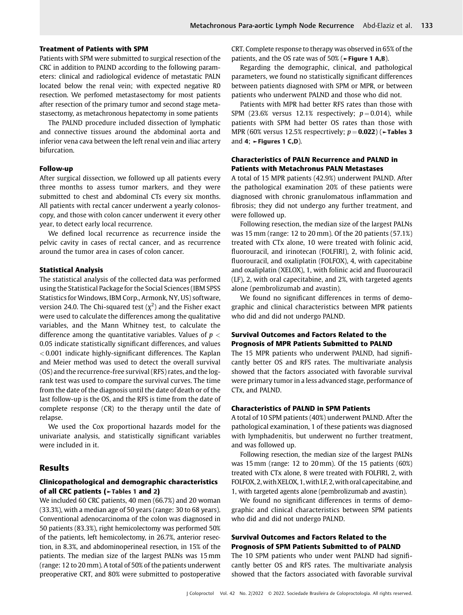#### Treatment of Patients with SPM

Patients with SPM were submitted to surgical resection of the CRC in addition to PALND according to the following parameters: clinical and radiological evidence of metastatic PALN located below the renal vein; with expected negative R0 resection. We perfomed metastasectomy for most patients after resection of the primary tumor and second stage metastasectomy, as metachronous hepatectomy in some patients

The PALND procedure included dissection of lymphatic and connective tissues around the abdominal aorta and inferior vena cava between the left renal vein and iliac artery bifurcation.

#### Follow-up

After surgical dissection, we followed up all patients every three months to assess tumor markers, and they were submitted to chest and abdominal CTs every six months. All patients with rectal cancer underwent a yearly colonoscopy, and those with colon cancer underwent it every other year, to detect early local recurrence.

We defined local recurrence as recurrence inside the pelvic cavity in cases of rectal cancer, and as recurrence around the tumor area in cases of colon cancer.

#### Statistical Analysis

The statistical analysis of the collected data was performed using the Statistical Package for the Social Sciences (IBM SPSS Statistics for Windows, IBM Corp., Armonk, NY, US) software, version 24.0. The Chi-squared test  $(\chi^2)$  and the Fisher exact were used to calculate the differences among the qualitative variables, and the Mann Whitney test, to calculate the difference among the quantitative variables. Values of  $p <$ 0.05 indicate statistically significant differences, and values < 0.001 indicate highly-significant differences. The Kaplan and Meier method was used to detect the overall survival (OS) and the recurrence-free survival (RFS) rates, and the logrank test was used to compare the survival curves. The time from the date of the diagnosis until the date of death or of the last follow-up is the OS, and the RFS is time from the date of complete response (CR) to the therapy until the date of relapse.

We used the Cox proportional hazards model for the univariate analysis, and statistically significant variables were included in it.

### Results

#### Clinicopathological and demographic characteristics of all CRC patients (►Tables 1 and 2)

We included 60 CRC patients, 40 men (66.7%) and 20 woman (33.3%), with a median age of 50 years (range: 30 to 68 years). Conventional adenocarcinoma of the colon was diagnosed in 50 patients (83.3%), right hemicolectomy was performed 50% of the patients, left hemicolectomy, in 26.7%, anterior resection, in 8.3%, and abdominoperineal resection, in 15% of the patients. The median size of the largest PALNs was 15 mm (range: 12 to 20mm). A total of 50% of the patients underwent preoperative CRT, and 80% were submitted to postoperative CRT. Complete response to therapy was observed in 65% of the patients, and the OS rate was of 50% (►Figure 1 A,B).

Regarding the demographic, clinical, and pathological parameters, we found no statistically significant differences between patients diagnosed with SPM or MPR, or between patients who underwent PALND and those who did not.

Patients with MPR had better RFS rates than those with SPM (23.6% versus 12.1% respectively;  $p = 0.014$ ), while patients with SPM had better OS rates than those with MPR (60% versus 12.5% respecrtively;  $p = 0.022$ ) ( $\blacktriangleright$ Tables 3 and 4;  $\blacktriangleright$  Figures 1 C,D).

### Characteristics of PALN Recurrence and PALND in Patients with Metachronus PALN Metastases

A total of 15 MPR patients (42.9%) underwent PALND. After the pathological examination 20% of these patients were diagnosed with chronic granulomatous inflammation and fibrosis; they did not undergo any further treatment, and were followed up.

Following resection, the median size of the largest PALNs was 15 mm (range: 12 to 20 mm). Of the 20 patients (57.1%) treated with CTx alone, 10 were treated with folinic acid, fluorouracil, and irinotecan (FOLFIRI), 2, with folinic acid, fluorouracil, and oxaliplatin (FOLFOX), 4, with capecitabine and oxaliplatin (XELOX), 1, with folinic acid and fluorouracil (LF), 2, with oral capecitabine, and 2%, with targeted agents alone (pembrolizumab and avastin).

We found no significant differences in terms of demographic and clinical characteristics between MPR patients who did and did not undergo PALND.

### Survival Outcomes and Factors Related to the Prognosis of MPR Patients Submitted to PALND

The 15 MPR patients who underwent PALND, had significantly better OS and RFS rates. The multivariate analysis showed that the factors associated with favorable survival were primary tumor in a less advanced stage, performance of CTx, and PALND.

#### Characteristics of PALND in SPM Patients

A total of 10 SPM patients (40%) underwent PALND. After the pathological examination, 1 of these patients was diagnosed with lymphadenitis, but underwent no further treatment, and was followed up.

Following resection, the median size of the largest PALNs was 15mm (range: 12 to 20mm). Of the 15 patients (60%) treated with CTx alone, 8 were treated with FOLFIRI, 2, with FOLFOX, 2, with XELOX, 1, with LF, 2, with oral capecitabine, and 1, with targeted agents alone (pembrolizumab and avastin).

We found no significant differences in terms of demographic and clinical characteristics between SPM patients who did and did not undergo PALND.

## Survival Outcomes and Factors Related to the Prognosis of SPM Patients Submitted to of PALND

The 10 SPM patients who under went PALND had significantly better OS and RFS rates. The multivariate analysis showed that the factors associated with favorable survival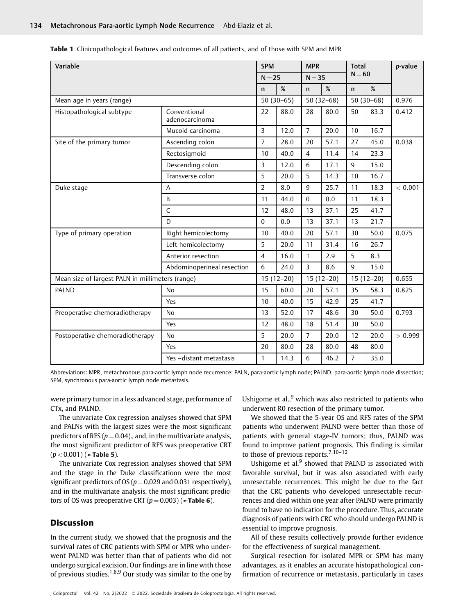Table 1 Clinicopathological features and outcomes of all patients, and of those with SPM and MPR

| Variable                                         |                                | <b>SPM</b>     |             | <b>MPR</b>     | <b>Total</b> |                |             | p-value |
|--------------------------------------------------|--------------------------------|----------------|-------------|----------------|--------------|----------------|-------------|---------|
|                                                  |                                | $N = 25$       |             | $N = 35$       |              | $N = 60$       |             |         |
|                                                  |                                | $\mathsf{n}$   | %           | $\mathsf{n}$   | %            | $\mathsf{n}$   | $\%$        |         |
| Mean age in years (range)                        |                                |                | $50(30-65)$ | $50(32-68)$    |              |                | $50(30-68)$ | 0.976   |
| Histopathological subtype                        | Conventional<br>adenocarcinoma | 22             | 88.0        | 28             | 80.0         | 50             | 83.3        | 0.412   |
|                                                  | Mucoid carcinoma               | 3              | 12.0        | $\overline{7}$ | 20.0         | 10             | 16.7        |         |
| Site of the primary tumor                        | Ascending colon                | $\overline{7}$ | 28.0        | 20             | 57.1         | 27             | 45.0        | 0.038   |
|                                                  | Rectosigmoid                   | 10             | 40.0        | $\overline{4}$ | 11.4         | 14             | 23.3        |         |
|                                                  | Descending colon               | 3              | 12.0        | 6              | 17.1         | 9              | 15.0        |         |
|                                                  | Transverse colon               | 5              | 20.0        | 5              | 14.3         | 10             | 16.7        |         |
| Duke stage                                       | A                              | $\overline{2}$ | 8.0         | 9              | 25.7         | 11             | 18.3        | < 0.001 |
|                                                  | B                              | 11             | 44.0        | $\mathbf 0$    | 0.0          | 11             | 18.3        |         |
|                                                  | $\mathsf{C}$                   | 12             | 48.0        | 13             | 37.1         | 25             | 41.7        |         |
|                                                  | D                              | $\Omega$       | 0.0         | 13             | 37.1         | 13             | 21.7        |         |
| Type of primary operation                        | Right hemicolectomy            | 10             | 40.0        | 20             | 57.1         | 30             | 50.0        | 0.075   |
|                                                  | Left hemicolectomy             | 5              | 20.0        | 11             | 31.4         | 16             | 26.7        |         |
|                                                  | Anterior resection             | $\overline{4}$ | 16.0        | 1              | 2.9          | 5              | 8.3         |         |
|                                                  | Abdominoperineal resection     | 6              | 24.0        | 3              | 8.6          | $\mathbf{q}$   | 15.0        |         |
| Mean size of largest PALN in millimeters (range) |                                |                | $15(12-20)$ |                | $15(12-20)$  |                | $15(12-20)$ | 0.655   |
| <b>PALND</b>                                     | <b>No</b>                      | 15             | 60.0        | 20             | 57.1         | 35             | 58.3        | 0.825   |
|                                                  | Yes                            | 10             | 40.0        | 15             | 42.9         | 25             | 41.7        |         |
| Preoperative chemoradiotherapy                   | <b>No</b>                      | 13             | 52.0        | 17             | 48.6         | 30             | 50.0        | 0.793   |
|                                                  | Yes                            | 12             | 48.0        | 18             | 51.4         | 30             | 50.0        |         |
| Postoperative chemoradiotherapy                  | <b>No</b>                      | 5              | 20.0        | $\overline{7}$ | 20.0         | 12             | 20.0        | > 0.999 |
|                                                  | Yes                            | 20             | 80.0        | 28             | 80.0         | 48             | 80.0        |         |
|                                                  | Yes -distant metastasis        | $\mathbf{1}$   | 14.3        | 6              | 46.2         | $\overline{7}$ | 35.0        |         |

Abbreviations: MPR, metachronous para-aortic lymph node recurrence; PALN, para-aortic lymph node; PALND, para-aortic lymph node dissection; SPM, synchronous para-aortic lymph node metastasis.

were primary tumor in a less advanced stage, performance of CTx, and PALND.

The univariate Cox regression analyses showed that SPM and PALNs with the largest sizes were the most significant predictors of RFS ( $p = 0.04$ )., and, in the multivariate analysis, the most significant predictor of RFS was preoperative CRT  $(p < 0.001)$  ( $\sim$ Table 5).

The univariate Cox regression analyses showed that SPM and the stage in the Duke classificatioon were the most significant predictors of OS ( $p = 0.029$  and 0.031 respectively), and in the multivariate analysis, the most significant predictors of OS was preoperative CRT  $(p = 0.003)$  ( $\blacktriangleright$ Table 6).

# **Discussion**

In the current study, we showed that the prognosis and the survival rates of CRC patients with SPM or MPR who underwent PALND was better than that of patients who did not undergo surgical excision. Our findings are in line with those of previous studies.<sup>1,8,9</sup> Our study was similar to the one by

Ushigome et al., $9$  which was also restricted to patients who underwent R0 resection of the primary tumor.

We showed that the 5-year OS and RFS rates of the SPM patients who underwent PALND were better than those of patients with general stage-IV tumors; thus, PALND was found to improve patient prognosis. This finding is similar to those of previous reports.<sup>7,10-12</sup>

Ushigome et al. $9$  showed that PALND is associated with favorable survival, but it was also associated with early unresectable recurrences. This might be due to the fact that the CRC patients who developed unresectable recurrences and died within one year after PALND were primarily found to have no indication for the procedure. Thus, accurate diagnosis of patients with CRC who should undergo PALND is essential to improve prognosis.

All of these results collectively provide further evidence for the effectiveness of surgical management.

Surgical resection for isolated MPR or SPM has many advantages, as it enables an accurate histopathological confirmation of recurrence or metastasis, particularly in cases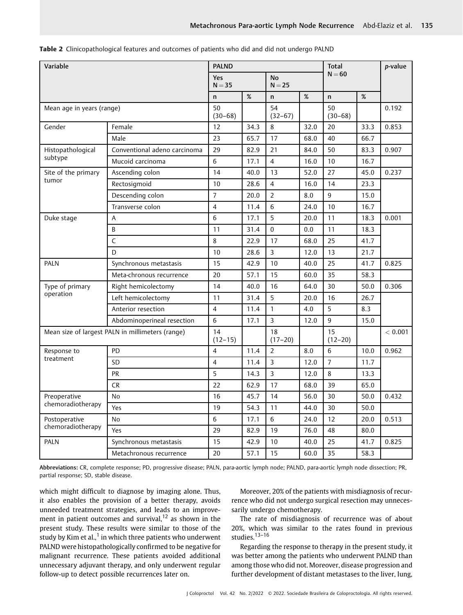| Variable                     |                                                  | <b>PALND</b>      |      |                       |      | <b>Total</b>      |      | p-value |
|------------------------------|--------------------------------------------------|-------------------|------|-----------------------|------|-------------------|------|---------|
|                              |                                                  | Yes<br>$N = 35$   |      | <b>No</b><br>$N = 25$ |      | $N = 60$          |      |         |
|                              |                                                  | n                 | $\%$ | $\mathsf{n}$          | $\%$ | $\mathsf{n}$      | $\%$ |         |
| Mean age in years (range)    |                                                  | 50<br>$(30 - 68)$ |      | 54<br>$(32-67)$       |      | 50<br>$(30 - 68)$ |      | 0.192   |
| Gender                       | Female                                           | 12                | 34.3 | 8                     | 32.0 | 20                | 33.3 | 0.853   |
|                              | Male                                             | 23                | 65.7 | 17                    | 68.0 | 40                | 66.7 |         |
| Histopathological            | Conventional adeno carcinoma                     | 29                | 82.9 | 21                    | 84.0 | 50                | 83.3 | 0.907   |
| subtype                      | Mucoid carcinoma                                 | 6                 | 17.1 | $\overline{4}$        | 16.0 | 10                | 16.7 |         |
| Site of the primary          | Ascending colon                                  | 14                | 40.0 | 13                    | 52.0 | 27                | 45.0 | 0.237   |
| tumor                        | Rectosigmoid                                     | 10                | 28.6 | $\overline{4}$        | 16.0 | 14                | 23.3 |         |
|                              | Descending colon                                 | $\overline{7}$    | 20.0 | $\overline{2}$        | 8.0  | 9                 | 15.0 |         |
|                              | Transverse colon                                 | $\overline{4}$    | 11.4 | 6                     | 24.0 | 10                | 16.7 |         |
| Duke stage                   | A                                                | 6                 | 17.1 | 5                     | 20.0 | 11                | 18.3 | 0.001   |
|                              | B                                                | 11                | 31.4 | $\Omega$              | 0.0  | 11                | 18.3 |         |
|                              | C                                                | 8                 | 22.9 | 17                    | 68.0 | 25                | 41.7 |         |
|                              | D                                                | 10                | 28.6 | 3                     | 12.0 | 13                | 21.7 | 0.825   |
| <b>PALN</b>                  | Synchronous metastasis                           | 15                | 42.9 | 10                    | 40.0 | 25                | 41.7 |         |
|                              | Meta-chronous recurrence                         | 20                | 57.1 | 15                    | 60.0 | 35                | 58.3 |         |
| Type of primary<br>operation | Right hemicolectomy                              | 14                | 40.0 | 16                    | 64.0 | 30                | 50.0 | 0.306   |
|                              | Left hemicolectomy                               | 11                | 31.4 | 5                     | 20.0 | 16                | 26.7 |         |
|                              | Anterior resection                               | $\overline{4}$    | 11.4 | $\mathbf{1}$          | 4.0  | 5                 | 8.3  |         |
|                              | Abdominoperineal resection                       | 6                 | 17.1 | 3                     | 12.0 | $9\,$             | 15.0 |         |
|                              | Mean size of largest PALN in millimeters (range) | 14<br>$(12 - 15)$ |      | 18<br>$(17-20)$       |      | 15<br>$(12 - 20)$ |      | < 0.001 |
| Response to                  | PD                                               | $\overline{4}$    | 11.4 | $\overline{2}$        | 8.0  | 6                 | 10.0 | 0.962   |
| treatment                    | SD                                               | $\overline{4}$    | 11.4 | 3                     | 12.0 | $\overline{7}$    | 11.7 |         |
|                              | <b>PR</b>                                        | 5                 | 14.3 | $\overline{3}$        | 12.0 | 8                 | 13.3 |         |
|                              | <b>CR</b>                                        | 22                | 62.9 | 17                    | 68.0 | 39                | 65.0 |         |
| Preoperative                 | No                                               | 16                | 45.7 | 14                    | 56.0 | 30                | 50.0 | 0.432   |
| chemoradiotherapy            | Yes                                              | 19                | 54.3 | 11                    | 44.0 | 30                | 50.0 |         |
| Postoperative                | No                                               | $\sqrt{6}$        | 17.1 | 6                     | 24.0 | 12                | 20.0 | 0.513   |
| chemoradiotherapy            | Yes                                              | 29                | 82.9 | 19                    | 76.0 | 48                | 80.0 |         |
| PALN                         | Synchronous metastasis                           | 15                | 42.9 | 10                    | 40.0 | 25                | 41.7 | 0.825   |
|                              | Metachronous recurrence                          | 20                | 57.1 | 15                    | 60.0 | 35                | 58.3 |         |

Table 2 Clinicopathological features and outcomes of patients who did and did not undergo PALND

Abbreviations: CR, complete response; PD, progressive disease; PALN, para-aortic lymph node; PALND, para-aortic lymph node dissection; PR, partial response; SD, stable disease.

which might difficult to diagnose by imaging alone. Thus, it also enables the provision of a better therapy, avoids unneeded treatment strategies, and leads to an improvement in patient outcomes and survival,  $12$  as shown in the present study. These results were similar to those of the study by Kim et al.,<sup>1</sup> in which three patients who underwent PALND were histopathologically confirmed to be negative for malignant recurrence. These patients avoided additional unnecessary adjuvant therapy, and only underwent regular follow-up to detect possible recurrences later on.

Moreover, 20% of the patients with misdiagnosis of recurrence who did not undergo surgical resection may unnecessarily undergo chemotherapy.

The rate of misdiagnosis of recurrence was of about 20%, which was similar to the rates found in previous studies.<sup>13-16</sup>

Regarding the response to therapy in the present study, it was better among the patients who underwent PALND than among those who did not. Moreover, disease progression and further development of distant metastases to the liver, lung,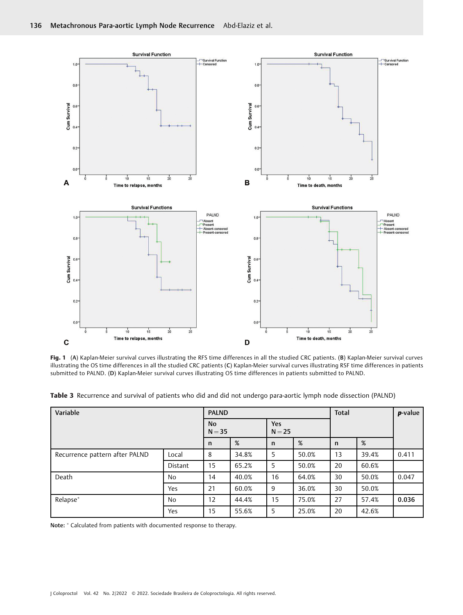

Fig. 1 (A) Kaplan-Meier survival curves illustrating the RFS time differences in all the studied CRC patients. (B) Kaplan-Meier survival curves illustrating the OS time differences in all the studied CRC patients (C) Kaplan-Meier survival curves illustrating RSF time differences in patients submitted to PALND. (D) Kaplan-Meier survival curves illustrating OS time differences in patients submitted to PALND.

| Variable                       |                | <b>PALND</b>   |       |                        |       | <b>Total</b> |       | p-value |
|--------------------------------|----------------|----------------|-------|------------------------|-------|--------------|-------|---------|
|                                |                | No<br>$N = 35$ |       | <b>Yes</b><br>$N = 25$ |       |              |       |         |
|                                |                | n              | %     | $\mathsf{n}$           | %     | n            | %     |         |
| Recurrence pattern after PALND | Local          | 8              | 34.8% | 5                      | 50.0% | 13           | 39.4% | 0.411   |
|                                | <b>Distant</b> | 15             | 65.2% | 5                      | 50.0% | 20           | 60.6% |         |
| Death                          | <b>No</b>      | 14             | 40.0% | 16                     | 64.0% | 30           | 50.0% | 0.047   |
|                                | Yes            | 21             | 60.0% | 9                      | 36.0% | 30           | 50.0% |         |
| Relapse*                       | No             | 12             | 44.4% | 15                     | 75.0% | 27           | 57.4% | 0.036   |
|                                | Yes            | 15             | 55.6% | 5                      | 25.0% | 20           | 42.6% |         |

Table 3 Recurrence and survival of patients who did and did not undergo para-aortic lymph node dissection (PALND)

Note:  $^\ast$  Calculated from patients with documented response to therapy.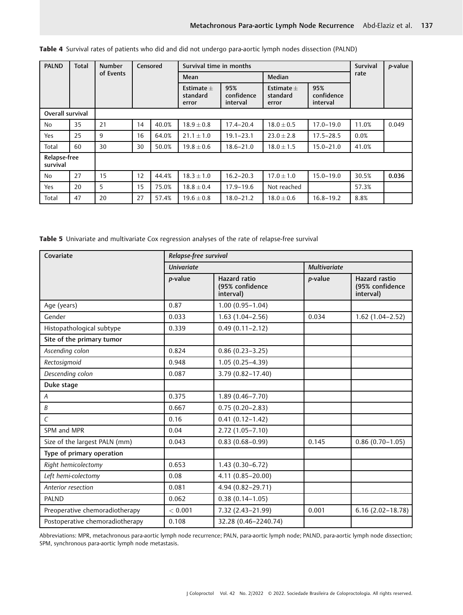| <b>PALND</b>             | <b>Total</b> | <b>Number</b> |    | Censored<br>Survival time in months |                                   |                               |                                   |                               | Survival | p-value |
|--------------------------|--------------|---------------|----|-------------------------------------|-----------------------------------|-------------------------------|-----------------------------------|-------------------------------|----------|---------|
|                          |              | of Events     |    |                                     | Mean                              |                               | Median                            |                               | rate     |         |
|                          |              |               |    |                                     | Estimate $+$<br>standard<br>error | 95%<br>confidence<br>interval | Estimate $+$<br>standard<br>error | 95%<br>confidence<br>interval |          |         |
| Overall survival         |              |               |    |                                     |                                   |                               |                                   |                               |          |         |
| No                       | 35           | 21            | 14 | 40.0%                               | $18.9 \pm 0.8$                    | $17.4 - 20.4$                 | $18.0 \pm 0.5$                    | $17.0 - 19.0$                 | 11.0%    | 0.049   |
| Yes                      | 25           | 9             | 16 | 64.0%                               | $21.1 \pm 1.0$                    | $19.1 - 23.1$                 | $23.0 \pm 2.8$                    | $17.5 - 28.5$                 | 0.0%     |         |
| Total                    | 60           | 30            | 30 | 50.0%                               | $19.8 \pm 0.6$                    | $18.6 - 21.0$                 | $18.0 \pm 1.5$                    | $15.0 - 21.0$                 | 41.0%    |         |
| Relapse-free<br>survival |              |               |    |                                     |                                   |                               |                                   |                               |          |         |
| No                       | 27           | 15            | 12 | 44.4%                               | $18.3 \pm 1.0$                    | $16.2 - 20.3$                 | $17.0 \pm 1.0$                    | $15.0 - 19.0$                 | 30.5%    | 0.036   |
| Yes                      | 20           | 5             | 15 | 75.0%                               | $18.8 \pm 0.4$                    | $17.9 - 19.6$                 | Not reached                       |                               | 57.3%    |         |
| Total                    | 47           | 20            | 27 | 57.4%                               | $19.6 \pm 0.8$                    | $18.0 - 21.2$                 | $18.0 \pm 0.6$                    | $16.8 - 19.2$                 | 8.8%     |         |

|  | Table 4 Survival rates of patients who did and did not undergo para-aortic lymph nodes dissection (PALND) |  |  |  |
|--|-----------------------------------------------------------------------------------------------------------|--|--|--|
|--|-----------------------------------------------------------------------------------------------------------|--|--|--|

Table 5 Univariate and multivariate Cox regression analyses of the rate of relapse-free survival

| Covariate                       | Relapse-free survival |                                                     |                     |                                                      |  |  |  |
|---------------------------------|-----------------------|-----------------------------------------------------|---------------------|------------------------------------------------------|--|--|--|
|                                 | <b>Univariate</b>     |                                                     | <b>Multivariate</b> |                                                      |  |  |  |
|                                 | p-value               | <b>Hazard</b> ratio<br>(95% confidence<br>interval) | p-value             | <b>Hazard rastio</b><br>(95% confidence<br>interval) |  |  |  |
| Age (years)                     | 0.87                  | $1.00(0.95 - 1.04)$                                 |                     |                                                      |  |  |  |
| Gender                          | 0.033                 | $1.63(1.04 - 2.56)$                                 | 0.034               | $1.62(1.04 - 2.52)$                                  |  |  |  |
| Histopathological subtype       | 0.339                 | $0.49(0.11 - 2.12)$                                 |                     |                                                      |  |  |  |
| Site of the primary tumor       |                       |                                                     |                     |                                                      |  |  |  |
| Ascending colon                 | 0.824                 | $0.86(0.23 - 3.25)$                                 |                     |                                                      |  |  |  |
| Rectosigmoid                    | 0.948                 | $1.05(0.25 - 4.39)$                                 |                     |                                                      |  |  |  |
| Descending colon                | 0.087                 | 3.79 (0.82-17.40)                                   |                     |                                                      |  |  |  |
| Duke stage                      |                       |                                                     |                     |                                                      |  |  |  |
| A                               | 0.375                 | $1.89(0.46 - 7.70)$                                 |                     |                                                      |  |  |  |
| B                               | 0.667                 | $0.75(0.20 - 2.83)$                                 |                     |                                                      |  |  |  |
| $\mathcal{C}_{\mathcal{C}}$     | 0.16                  | $0.41(0.12 - 1.42)$                                 |                     |                                                      |  |  |  |
| SPM and MPR                     | 0.04                  | $2.72(1.05 - 7.10)$                                 |                     |                                                      |  |  |  |
| Size of the largest PALN (mm)   | 0.043                 | $0.83(0.68 - 0.99)$                                 | 0.145               | $0.86(0.70-1.05)$                                    |  |  |  |
| Type of primary operation       |                       |                                                     |                     |                                                      |  |  |  |
| Right hemicolectomy             | 0.653                 | $1.43(0.30-6.72)$                                   |                     |                                                      |  |  |  |
| Left hemi-colectomy             | 0.08                  | $4.11(0.85 - 20.00)$                                |                     |                                                      |  |  |  |
| Anterior resection              | 0.081                 | 4.94 (0.82-29.71)                                   |                     |                                                      |  |  |  |
| <b>PALND</b>                    | 0.062                 | $0.38(0.14 - 1.05)$                                 |                     |                                                      |  |  |  |
| Preoperative chemoradiotherapy  | < 0.001               | 7.32 (2.43-21.99)                                   | 0.001               | $6.16(2.02 - 18.78)$                                 |  |  |  |
| Postoperative chemoradiotherapy | 0.108                 | 32.28 (0.46-2240.74)                                |                     |                                                      |  |  |  |

Abbreviations: MPR, metachronous para-aortic lymph node recurrence; PALN, para-aortic lymph node; PALND, para-aortic lymph node dissection; SPM, synchronous para-aortic lymph node metastasis.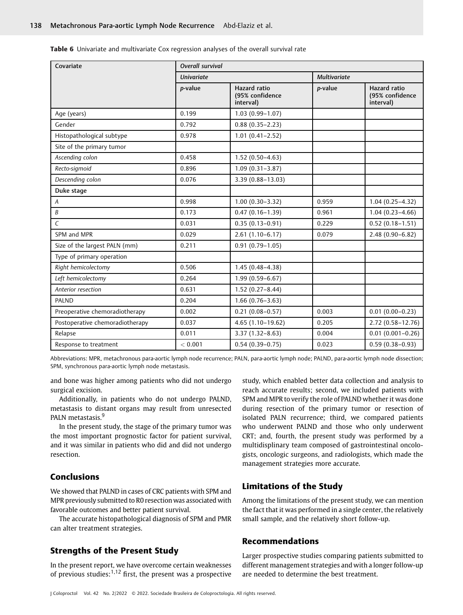| <b>Table 6</b> Univariate and multivariate Cox regression analyses of the overall survival rate |  |  |  |
|-------------------------------------------------------------------------------------------------|--|--|--|
|-------------------------------------------------------------------------------------------------|--|--|--|

| Covariate                       | Overall survival  |                                                     |                     |                                                     |  |  |  |
|---------------------------------|-------------------|-----------------------------------------------------|---------------------|-----------------------------------------------------|--|--|--|
|                                 | <b>Univariate</b> |                                                     | <b>Multivariate</b> |                                                     |  |  |  |
|                                 | p-value           | <b>Hazard</b> ratio<br>(95% confidence<br>interval) | p-value             | <b>Hazard</b> ratio<br>(95% confidence<br>interval) |  |  |  |
| Age (years)                     | 0.199             | $1.03(0.99 - 1.07)$                                 |                     |                                                     |  |  |  |
| Gender                          | 0.792             | $0.88(0.35 - 2.23)$                                 |                     |                                                     |  |  |  |
| Histopathological subtype       | 0.978             | $1.01(0.41 - 2.52)$                                 |                     |                                                     |  |  |  |
| Site of the primary tumor       |                   |                                                     |                     |                                                     |  |  |  |
| Ascending colon                 | 0.458             | $1.52(0.50-4.63)$                                   |                     |                                                     |  |  |  |
| Recto-sigmoid                   | 0.896             | $1.09(0.31 - 3.87)$                                 |                     |                                                     |  |  |  |
| Descending colon                | 0.076             | 3.39 (0.88-13.03)                                   |                     |                                                     |  |  |  |
| Duke stage                      |                   |                                                     |                     |                                                     |  |  |  |
| A                               | 0.998             | $1.00(0.30-3.32)$                                   | 0.959               | $1.04(0.25 - 4.32)$                                 |  |  |  |
| B                               | 0.173             | $0.47(0.16 - 1.39)$                                 | 0.961               | $1.04(0.23 - 4.66)$                                 |  |  |  |
| $\epsilon$                      | 0.031             | $0.35(0.13 - 0.91)$                                 | 0.229               | $0.52(0.18 - 1.51)$                                 |  |  |  |
| SPM and MPR                     | 0.029             | $2.61(1.10-6.17)$                                   | 0.079               | $2.48(0.90 - 6.82)$                                 |  |  |  |
| Size of the largest PALN (mm)   | 0.211             | $0.91(0.79 - 1.05)$                                 |                     |                                                     |  |  |  |
| Type of primary operation       |                   |                                                     |                     |                                                     |  |  |  |
| Right hemicolectomy             | 0.506             | $1.45(0.48 - 4.38)$                                 |                     |                                                     |  |  |  |
| Left hemicolectomy              | 0.264             | $1.99(0.59 - 6.67)$                                 |                     |                                                     |  |  |  |
| Anterior resection              | 0.631             | $1.52(0.27 - 8.44)$                                 |                     |                                                     |  |  |  |
| <b>PALND</b>                    | 0.204             | $1.66(0.76 - 3.63)$                                 |                     |                                                     |  |  |  |
| Preoperative chemoradiotherapy  | 0.002             | $0.21(0.08 - 0.57)$                                 | 0.003               | $0.01(0.00 - 0.23)$                                 |  |  |  |
| Postoperative chemoradiotherapy | 0.037             | $4.65(1.10-19.62)$                                  | 0.205               | $2.72(0.58 - 12.76)$                                |  |  |  |
| Relapse                         | 0.011             | $3.37(1.32 - 8.63)$                                 | 0.004               | $0.01(0.001 - 0.26)$                                |  |  |  |
| Response to treatment           | < 0.001           | $0.54(0.39 - 0.75)$                                 | 0.023               | $0.59(0.38 - 0.93)$                                 |  |  |  |

Abbreviations: MPR, metachronous para-aortic lymph node recurrence; PALN, para-aortic lymph node; PALND, para-aortic lymph node dissection; SPM, synchronous para-aortic lymph node metastasis.

and bone was higher among patients who did not undergo surgical excision.

Additionally, in patients who do not undergo PALND, metastasis to distant organs may result from unresected PALN metastasis.<sup>9</sup>

In the present study, the stage of the primary tumor was the most important prognostic factor for patient survival, and it was similar in patients who did and did not undergo resection.

# Conclusions

We showed that PALND in cases of CRC patients with SPM and MPR previously submitted to R0 resection was associated with favorable outcomes and better patient survival.

The accurate histopathological diagnosis of SPM and PMR can alter treatment strategies.

# Strengths of the Present Study

In the present report, we have overcome certain weaknesses of previous studies:1,12 first, the present was a prospective

study, which enabled better data collection and analysis to reach accurate results; second, we included patients with SPM and MPR to verify the role of PALND whether it was done during resection of the primary tumor or resection of isolated PALN recurrence; third, we compared patients who underwent PALND and those who only underwent CRT; and, fourth, the present study was performed by a multidisplinary team composed of gastrointestinal oncologists, oncologic surgeons, and radiologists, which made the management strategies more accurate.

# Limitations of the Study

Among the limitations of the present study, we can mention the fact that it was performed in a single center, the relatively small sample, and the relatively short follow-up.

#### Recommendations

Larger prospective studies comparing patients submitted to different management strategies and with a longer follow-up are needed to determine the best treatment.